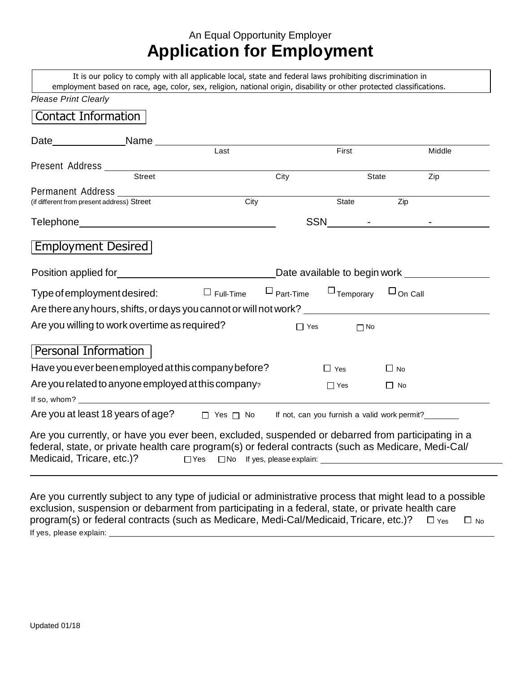# An Equal Opportunity Employer **Application for Employment**

It is our policy to comply with all applicable local, state and federal laws prohibiting discrimination in employment based on race, age, color, sex, religion, national origin, disability or other protected classifications.

| Contact Information                                                                                                                                                                                                                   |        |                  |      |                                                  |           |        |
|---------------------------------------------------------------------------------------------------------------------------------------------------------------------------------------------------------------------------------------|--------|------------------|------|--------------------------------------------------|-----------|--------|
|                                                                                                                                                                                                                                       |        |                  |      |                                                  |           |        |
|                                                                                                                                                                                                                                       |        | Last             |      | First                                            |           | Middle |
|                                                                                                                                                                                                                                       | Street |                  | City |                                                  |           |        |
|                                                                                                                                                                                                                                       |        |                  |      |                                                  | State     | Zip    |
| Permanent Address<br>(if different from present address) Street                                                                                                                                                                       |        | City             |      | State                                            | Zip       |        |
|                                                                                                                                                                                                                                       |        |                  |      | SSN - CONSTRUCTION                               |           |        |
| Employment Desired                                                                                                                                                                                                                    |        |                  |      |                                                  |           |        |
|                                                                                                                                                                                                                                       |        |                  |      | Date available to begin work __________          |           |        |
| Type of employment desired:                                                                                                                                                                                                           |        | $\Box$ Full-Time |      | $\Box$ Part-Time $\Box$ Temporary $\Box$ On Call |           |        |
| Are there any hours, shifts, or days you cannot or will not work? _______________                                                                                                                                                     |        |                  |      |                                                  |           |        |
| Are you willing to work overtime as required?                                                                                                                                                                                         |        |                  |      | $\Box$ Yes<br>$\prod$ No                         |           |        |
| Personal Information                                                                                                                                                                                                                  |        |                  |      |                                                  |           |        |
| Have you ever been employed at this company before?                                                                                                                                                                                   |        |                  |      | $\Box$ Yes                                       | $\Box$ No |        |
| Are you related to anyone employed at this company?                                                                                                                                                                                   |        |                  |      | $\Box$ Yes                                       | $\Box$ No |        |
| If so, whom? $\qquad \qquad$                                                                                                                                                                                                          |        |                  |      |                                                  |           |        |
| Are you at least 18 years of age?<br>$\Box$ Yes $\Box$ No If not, can you furnish a valid work permit?                                                                                                                                |        |                  |      |                                                  |           |        |
| Are you currently, or have you ever been, excluded, suspended or debarred from participating in a<br>federal, state, or private health care program(s) or federal contracts (such as Medicare, Medi-Cal/<br>Medicaid, Tricare, etc.)? |        |                  |      |                                                  |           |        |

Are you currently subject to any type of judicial or administrative process that might lead to a possible exclusion, suspension or debarment from participating in a federal, state, or private health care program(s) or federal contracts (such as Medicare, Medi-Cal/Medicaid, Tricare, etc.)?  $\Box$  Yes  $\Box$  No If yes, please explain: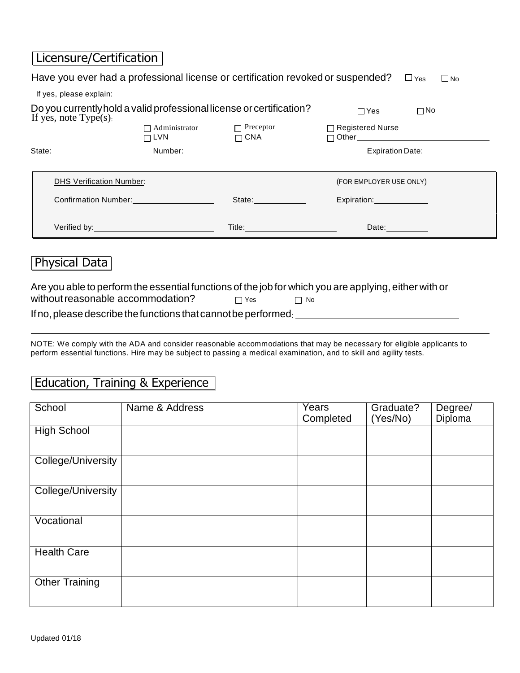# Licensure/Certification

| Have you ever had a professional license or certification revoked or suspended? $\square$ Yes<br>$\Box$ No                                 |                           |                                       |                         |                                           |
|--------------------------------------------------------------------------------------------------------------------------------------------|---------------------------|---------------------------------------|-------------------------|-------------------------------------------|
|                                                                                                                                            |                           |                                       |                         |                                           |
| Do you currently hold a valid professional license or certification?<br>If yes, note $Type(s)$ .                                           |                           |                                       | $\Box$ Yes              | $\square$ No                              |
|                                                                                                                                            | $\Box$ LVN $\Box$ CNA     | $\Box$ Administrator $\Box$ Preceptor | $\Box$ Registered Nurse | □ Other__________________________________ |
|                                                                                                                                            |                           |                                       |                         | Expiration Date: ________                 |
| <b>DHS Verification Number:</b>                                                                                                            |                           |                                       | (FOR EMPLOYER USE ONLY) |                                           |
|                                                                                                                                            | Confirmation Number: 1997 |                                       | Expiration: Department  |                                           |
|                                                                                                                                            |                           |                                       | Date:                   |                                           |
| Physical Data                                                                                                                              |                           |                                       |                         |                                           |
| Are you able to perform the essential functions of the job for which you are applying, either with or<br>without reasonable accommodation? |                           | $\Box$ Yes<br>$\Box$ No               |                         |                                           |

If no, please describe the functions that cannot be performed:

NOTE: We comply with the ADA and consider reasonable accommodations that may be necessary for eligible applicants to perform essential functions. Hire may be subject to passing a medical examination, and to skill and agility tests.

#### Education, Training & Experience

| School                | Name & Address | Years<br>Completed | Graduate?<br>(Yes/No) | Degree/<br>Diploma |
|-----------------------|----------------|--------------------|-----------------------|--------------------|
| <b>High School</b>    |                |                    |                       |                    |
| College/University    |                |                    |                       |                    |
| College/University    |                |                    |                       |                    |
| Vocational            |                |                    |                       |                    |
| <b>Health Care</b>    |                |                    |                       |                    |
| <b>Other Training</b> |                |                    |                       |                    |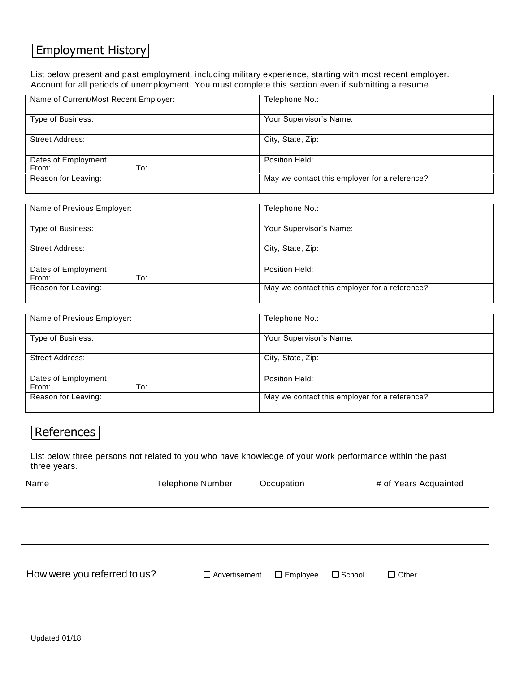## Employment History

List below present and past employment, including military experience, starting with most recent employer. Account for all periods of unemployment. You must complete this section even if submitting a resume.

| Name of Current/Most Recent Employer: | Telephone No.:                                |
|---------------------------------------|-----------------------------------------------|
|                                       |                                               |
| Type of Business:                     | Your Supervisor's Name:                       |
|                                       |                                               |
| Street Address:                       | City, State, Zip:                             |
|                                       |                                               |
| Dates of Employment                   | Position Held:                                |
| To:<br>From:                          |                                               |
| Reason for Leaving:                   | May we contact this employer for a reference? |
|                                       |                                               |

| Name of Previous Employer:          | Telephone No.:                                |
|-------------------------------------|-----------------------------------------------|
| Type of Business:                   | Your Supervisor's Name:                       |
| <b>Street Address:</b>              | City, State, Zip:                             |
| Dates of Employment<br>To:<br>From: | Position Held:                                |
| Reason for Leaving:                 | May we contact this employer for a reference? |

| Name of Previous Employer:          | Telephone No.:                                |
|-------------------------------------|-----------------------------------------------|
| Type of Business:                   | Your Supervisor's Name:                       |
| Street Address:                     | City, State, Zip:                             |
| Dates of Employment<br>To:<br>From: | Position Held:                                |
| Reason for Leaving:                 | May we contact this employer for a reference? |

## References

List below three persons not related to you who have knowledge of your work performance within the past three years.

| Name | <b>Telephone Number</b> | Occupation | # of Years Acquainted |
|------|-------------------------|------------|-----------------------|
|      |                         |            |                       |
|      |                         |            |                       |
|      |                         |            |                       |
|      |                         |            |                       |
|      |                         |            |                       |
|      |                         |            |                       |

How were you referred to us? <br>  $\square$  Advertisement  $\square$  Employee  $\square$  School  $\square$  Other

| Advertisement | $\Box$ Employee |
|---------------|-----------------|
|               |                 |